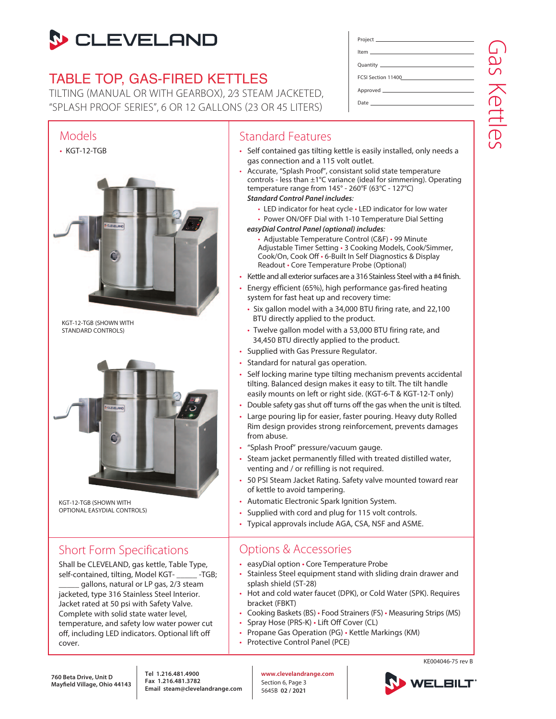# **S** CLEVELAND

## TABLE TOP, GAS-FIRED KETTLES

TILTING (MANUAL OR WITH GEARBOX), 2⁄3 STEAM JACKETED, "SPLASH PROOF SERIES", 6 OR 12 GALLONS (23 OR 45 LITERS)



KGT-12-TGB (SHOWN WITH OPTIONAL EASYDIAL CONTROLS)

## Short Form Specifications

Shall be CLEVELAND, gas kettle, Table Type, self-contained, tilting, Model KGT- \_\_\_\_\_ -TGB; gallons, natural or LP gas, 2/3 steam jacketed, type 316 Stainless Steel Interior. Jacket rated at 50 psi with Safety Valve. Complete with solid state water level, temperature, and safety low water power cut off, including LED indicators. Optional lift off cover.

| FCSI Section 11400 |  |
|--------------------|--|
|                    |  |
|                    |  |

### Standard Features

• Self contained gas tilting kettle is easily installed, only needs a gas connection and a 115 volt outlet.

- Accurate, "Splash Proof", consistant solid state temperature controls - less than ±1°C variance (ideal for simmering). Operating temperature range from 145° - 260°F (63°C - 127°C) *Standard Control Panel includes*:
	- LED indicator for heat cycle LED indicator for low water
	- Power ON/OFF Dial with 1-10 Temperature Dial Setting

#### *easyDial Control Panel (optional) includes*:

- Adjustable Temperature Control (C&F) 99 Minute Adjustable Timer Setting • 3 Cooking Models, Cook/Simmer, Cook/On, Cook Off • 6-Built In Self Diagnostics & Display Readout • Core Temperature Probe (Optional)
- Kettle and all exterior surfaces are a 316 Stainless Steel with a #4 finish.
- Energy efficient (65%), high performance gas-fired heating system for fast heat up and recovery time:
	- Six gallon model with a 34,000 BTU firing rate, and 22,100 BTU directly applied to the product.
	- Twelve gallon model with a 53,000 BTU firing rate, and 34,450 BTU directly applied to the product.
- Supplied with Gas Pressure Regulator.
- Standard for natural gas operation.
- Self locking marine type tilting mechanism prevents accidental tilting. Balanced design makes it easy to tilt. The tilt handle easily mounts on left or right side. (KGT-6-T & KGT-12-T only)
- Double safety gas shut off turns off the gas when the unit is tilted.
- Large pouring lip for easier, faster pouring. Heavy duty Rolled Rim design provides strong reinforcement, prevents damages from abuse.
- "Splash Proof" pressure/vacuum gauge.
- Steam jacket permanently filled with treated distilled water, venting and / or refilling is not required.
- 50 PSI Steam Jacket Rating. Safety valve mounted toward rear of kettle to avoid tampering.
- Automatic Electronic Spark Ignition System.
- Supplied with cord and plug for 115 volt controls.
- Typical approvals include AGA, CSA, NSF and ASME.

### Options & Accessories

- easyDial option Core Temperature Probe
- Stainless Steel equipment stand with sliding drain drawer and splash shield (ST-28)
- Hot and cold water faucet (DPK), or Cold Water (SPK). Requires bracket (FBKT)
- Cooking Baskets (BS) Food Strainers (FS) Measuring Strips (MS)
- Spray Hose (PRS-K) Lift Off Cover (CL)
- Propane Gas Operation (PG) Kettle Markings (KM)
- Protective Control Panel (PCE)

Gas Kettles Jas Kettles

**Tel 1.216.481.4900 Fax 1.216.481.3782 Email steam@clevelandrange.com** **www.clevelandrange.com** Section 6, Page 3 5645B **02 / 2021**